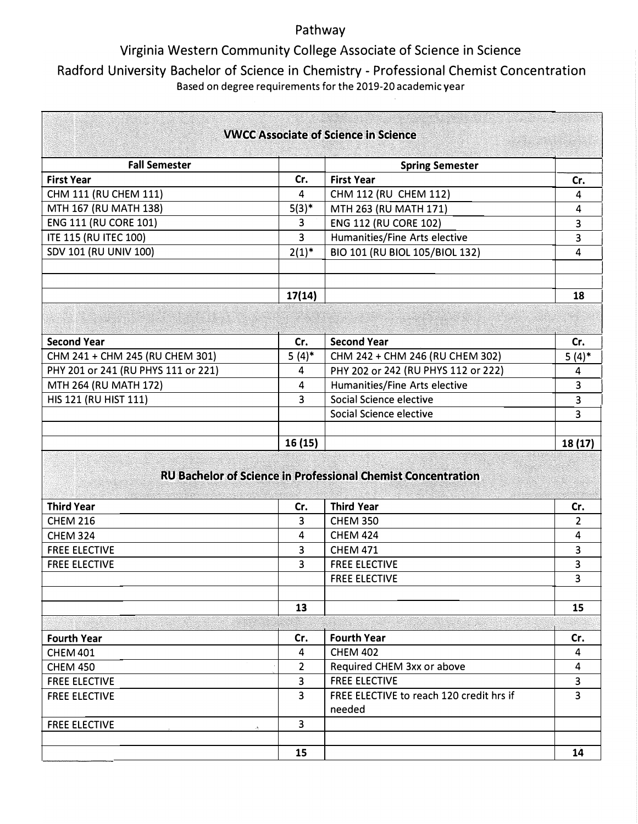### Pathway

# Virginia Western Community College Associate of Science in Science

## Radford University Bachelor of Science in Chemistry - Professional Chemist Concentration Based on degree requirements for the 2019-20 academic year

| <b>VWCC Associate of Science in Science</b>                         |                |                                                    |          |
|---------------------------------------------------------------------|----------------|----------------------------------------------------|----------|
| <b>Fall Semester</b>                                                |                | <b>Spring Semester</b>                             |          |
| <b>First Year</b>                                                   | Cr.            | <b>First Year</b>                                  | Cr.      |
| CHM 111 (RU CHEM 111)                                               | 4              | CHM 112 (RU CHEM 112)                              | 4        |
| MTH 167 (RU MATH 138)                                               | $5(3)^{*}$     | MTH 263 (RU MATH 171)                              | 4        |
| <b>ENG 111 (RU CORE 101)</b>                                        | 3              | <b>ENG 112 (RU CORE 102)</b>                       | 3        |
| <b>ITE 115 (RU ITEC 100)</b>                                        | $\overline{3}$ | Humanities/Fine Arts elective                      | 3        |
| SDV 101 (RU UNIV 100)                                               | $2(1)^{*}$     | BIO 101 (RU BIOL 105/BIOL 132)                     | 4        |
|                                                                     | 17(14)         |                                                    | 18       |
|                                                                     |                |                                                    |          |
| <b>Second Year</b>                                                  | Cr.            | <b>Second Year</b>                                 | Cr.      |
| CHM 241 + CHM 245 (RU CHEM 301)                                     | $5(4)$ *       | CHM 242 + CHM 246 (RU CHEM 302)                    | $5(4)$ * |
| PHY 201 or 241 (RU PHYS 111 or 221)                                 | 4              | PHY 202 or 242 (RU PHYS 112 or 222)                | 4        |
| MTH 264 (RU MATH 172)                                               | 4              | Humanities/Fine Arts elective                      | 3        |
| HIS 121 (RU HIST 111)                                               | 3              | Social Science elective                            | 3        |
|                                                                     |                | Social Science elective                            | 3        |
|                                                                     | 16(15)         |                                                    | 18 (17)  |
| <b>RU Bachelor of Science in Professional Chemist Concentration</b> |                |                                                    |          |
| <b>Third Year</b>                                                   | Cr.            | <b>Third Year</b>                                  | Cr.      |
| <b>CHEM 216</b>                                                     | 3              | <b>CHEM 350</b>                                    | 2        |
| <b>CHEM 324</b>                                                     | 4              | <b>CHEM 424</b>                                    | 4        |
| <b>FREE ELECTIVE</b>                                                | 3              | <b>CHEM 471</b>                                    | 3        |
| <b>FREE ELECTIVE</b>                                                | 3              | <b>FREE ELECTIVE</b>                               | 3        |
|                                                                     |                | <b>FREE ELECTIVE</b>                               | 3        |
|                                                                     | 13             |                                                    | 15       |
|                                                                     |                |                                                    |          |
| <b>Fourth Year</b>                                                  | Cr.            | <b>Fourth Year</b>                                 | Cr.      |
| <b>CHEM 401</b>                                                     | 4              | <b>CHEM 402</b>                                    | 4        |
| <b>CHEM 450</b>                                                     | $\overline{2}$ | Required CHEM 3xx or above                         | 4        |
| <b>FREE ELECTIVE</b>                                                | 3              | <b>FREE ELECTIVE</b>                               | 3        |
| <b>FREE ELECTIVE</b>                                                | 3              | FREE ELECTIVE to reach 120 credit hrs if<br>needed | 3        |
| <b>FREE ELECTIVE</b>                                                | $\overline{3}$ |                                                    |          |
|                                                                     |                |                                                    |          |
|                                                                     | 15             |                                                    | 14       |